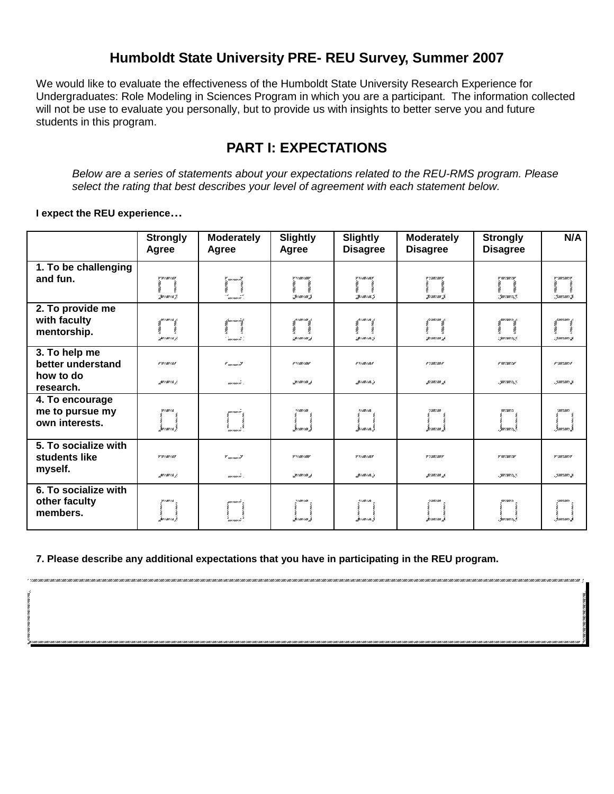## **Humboldt State University PRE- REU Survey, Summer 2007**

We would like to evaluate the effectiveness of the Humboldt State University Research Experience for Undergraduates: Role Modeling in Sciences Program in which you are a participant. The information collected will not be use to evaluate you personally, but to provide us with insights to better serve you and future students in this program.

# **PART I: EXPECTATIONS**

*Below are a series of statements about your expectations related to the REU-RMS program. Please select the rating that best describes your level of agreement with each statement below.*

**I expect the REU experience…**

|                                                              | <b>Strongly</b><br>Agree     | <b>Moderately</b><br>Agree                              | <b>Slightly</b><br>Agree                     | <b>Slightly</b><br><b>Disagree</b>         | <b>Moderately</b><br><b>Disagree</b> | <b>Strongly</b><br><b>Disagree</b>                | N/A                              |
|--------------------------------------------------------------|------------------------------|---------------------------------------------------------|----------------------------------------------|--------------------------------------------|--------------------------------------|---------------------------------------------------|----------------------------------|
| 1. To be challenging<br>and fun.                             | 7 W/AW/A7<br>Swiming).       | r<br>Amerikanê<br>Çina (<br>≁<br>www.i                  | V */////////////////<br>Sermerme h           | y 17 me 7 may<br>Sermermits                | v vanzany<br>Seeme aw S              | <b>V</b> 807/807/8 <b>V</b><br>Suuraurist.        | V * MINT MINT FO<br>: Gaurrawezh |
| 2. To provide me<br>with faculty<br>mentorship.              | pumia j<br>Surman K.         | f moment<br>''moment'                                   | p.com com <sub>d</sub><br>NWANT<br>Sermerm h | pumum p<br><b>New York</b><br>Sermerma's   | $\pm$ / an / an $\pm$                | 1001.0018 /<br><b>Newspaper</b><br>: par ruaris p | : Gauconor S                     |
| 3. To help me<br>better understand<br>how to do<br>research. | <b># W/AW/AP</b><br>garming. | $\mathcal{F}$ and $\rho$ and $\mathcal{F}$<br>mermeri . | #*/##/###<br>31101103 A                      | # *////////////////<br>HIM IM . J          | # '////////////#<br>31 m 1 m 3       | # 997 / 897 / 14<br>.700/00/152                   | a suurimmise<br>.ymmmm           |
| 4. To encourage<br>me to pursue my<br>own interests.         | W/M//A<br>šavava š           | musmusi<br>mermere.                                     | 1/100/100<br>Seeme can                       | <b>*//##//##</b><br>že <i>rmern</i> a.     | 7/007/000<br>manan.                  | WI/ <i>XIII</i> /s<br>. marsuris S                | uuraan<br>Ymriaw.                |
| 5. To socialize with<br>students like<br>myself.             | <b>Y</b> W/M/AY<br>gwmun /   | $\mathbf{v}_{\textit{unram}}$<br>monuei .               | <b>V</b> *////////////////                   | <b>V</b> *///////////////<br><b>MIMIMA</b> | V //////////////<br>g/m/mg           | <b>V</b> 997/897/3 <b>V</b><br>.700/00/152        | V * MINT MINT FV<br>.ymman 3     |
| 6. To socialize with<br>other faculty<br>members.            | W/M/A<br>'suraura J          | marmari s<br>mo more                                    | */ <i>mx/m</i> a<br>.<br>Seemeen             | <b>*//##//##</b><br><u>In cancer and I</u> | 's caucau z                          | WF/2011 / s<br>Ima cua ch                         | Guarrano.                        |

**7. Please describe any additional expectations that you have in participating in the REU program.**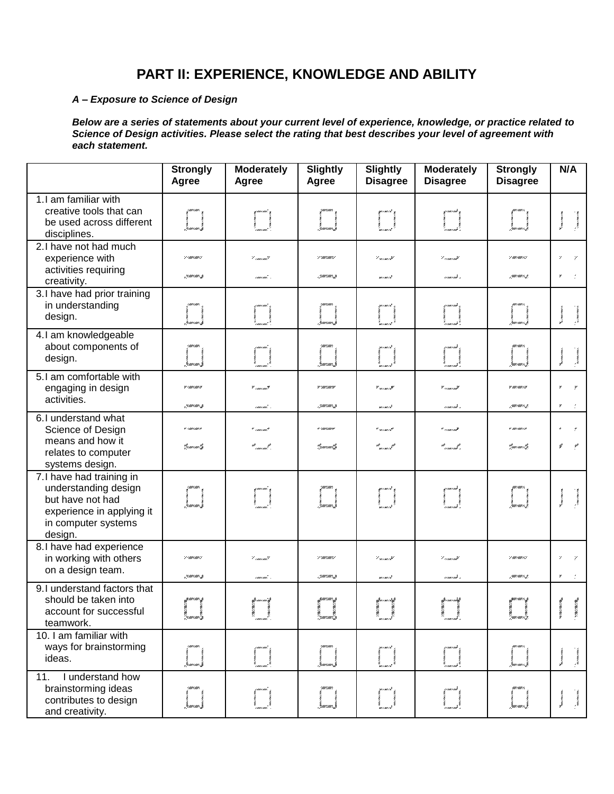# **PART II: EXPERIENCE, KNOWLEDGE AND ABILITY**

#### *A – Exposure to Science of Design*

*Below are a series of statements about your current level of experience, knowledge, or practice related to Science of Design activities. Please select the rating that best describes your level of agreement with each statement.*

|                                                                                                                                     | <b>Strongly</b><br>Agree              | <b>Moderately</b><br>Agree             | <b>Slightly</b><br>Agree             | <b>Slightly</b><br><b>Disagree</b>        | <b>Moderately</b><br><b>Disagree</b>                                                                                                                                                                                          | <b>Strongly</b><br><b>Disagree</b>       | N/A                             |
|-------------------------------------------------------------------------------------------------------------------------------------|---------------------------------------|----------------------------------------|--------------------------------------|-------------------------------------------|-------------------------------------------------------------------------------------------------------------------------------------------------------------------------------------------------------------------------------|------------------------------------------|---------------------------------|
| 1.I am familiar with<br>creative tools that can<br>be used across different<br>disciplines.                                         | i<br>Gamana (                         |                                        | i<br>Gamaan I                        | provincial<br>Compositor<br>Compositor    |                                                                                                                                                                                                                               | i<br>Zamoanovit                          | 1995/1995/1995                  |
| 2.I have not had much<br>experience with<br>activities requiring<br>creativity.                                                     | 2 (mil.mil.)<br>zamam <b>z</b>        | '' imicmit<br>caucaut. .               | 7° mil. mil. 1<br>. gawan ng         | '' sermi it<br>m i mi i ik                | '' como mil<br>rement s                                                                                                                                                                                                       | 7 911 1911 131<br>zminovist.             | $\mathbf{z}$                    |
| 3.I have had prior training<br>in understanding<br>design.                                                                          | i<br>Laurano, f                       |                                        | i<br>Gamano (f                       | aramata<br>1. marta 1980<br>1. marta 1980 |                                                                                                                                                                                                                               | i<br>San can col                         | <b>Section</b><br>$\frac{1}{2}$ |
| 4.1 am knowledgeable<br>about components of<br>design.                                                                              | i<br>Jeanean J                        |                                        | )<br>Žauriauri J                     | T <sup>oma</sup> l                        | Į                                                                                                                                                                                                                             | .<br>Ganzanez, f                         | <b>Marine</b>                   |
| 5.1 am comfortable with<br>engaging in design<br>activities.                                                                        | y cancerny<br>"gemeente ge            | י <sub>יוונות</sub> זיין<br>caucaut. . | v surrawre<br>. ymunmi y             | יים נוסגונים <sup>ש</sup><br>m i mi i it  | יע <sub>ונות מונו</sub> ני <sup>ש</sup><br>rement s                                                                                                                                                                           | ¥ 011/007/3<br>zawana ist                | ×                               |
| 6.I understand what<br>Science of Design<br>means and how it<br>relates to computer<br>systems design.                              | "zemecni", <b>z</b>                   | * marmar?<br>sti se stil               | <b>F 'AN' LOO'</b> IS<br>".guunaal". | ייש נוסגים <sup>ק</sup><br>ar<br>meninak  | יש <i>ונו ווווח י</i><br>a <sup>n</sup> ceann an <sup>go</sup> r                                                                                                                                                              | # 00/00/10<br>"parraarisp                | €                               |
| 7.I have had training in<br>understanding design<br>but have not had<br>experience in applying it<br>in computer systems<br>design. | i<br>Imman f                          | i<br>J                                 | i<br>Gaurrauce (f                    | provincial<br>Liga<br>Liga                |                                                                                                                                                                                                                               | i<br>Zamoano I                           | <b>Lunean</b>                   |
| 8.I have had experience<br>in working with others<br>on a design team.                                                              | 2 (mil.mil)<br>"zemecno" " <b>z</b> e | ' cancant'<br>caucau's                 | 7 ° mil 1 mil 17<br>. Jawaan z       | '' sermi it<br>mimik                      | '' como mil<br>como mi s                                                                                                                                                                                                      | 7 007 007 737<br>zawnawn <sub>a</sub> g. | ۳                               |
| 9.I understand factors that<br>should be taken into<br>account for successful<br>teamwork.                                          | a<br>Gundamida                        | rig<br>1990 - January Carlos, amerikan | ro<br>Spaar oma i <sub>St</sub> r    | gwnmniag<br>r<br>"meni k                  | the company of the company of the company of the company of the company of the company of the company of the company of the company of the company of the company of the company of the company of the company of the company | r<br>'zmenwelz                           |                                 |
| 10. I am familiar with<br>ways for brainstorming<br>ideas.                                                                          | )<br>Jaman J                          |                                        | <br> <br> }manners                   | I                                         |                                                                                                                                                                                                                               | žmene e <sub>r</sub> ž                   |                                 |
| I understand how<br>11.<br>brainstorming ideas<br>contributes to design<br>and creativity.                                          |                                       |                                        |                                      |                                           |                                                                                                                                                                                                                               |                                          |                                 |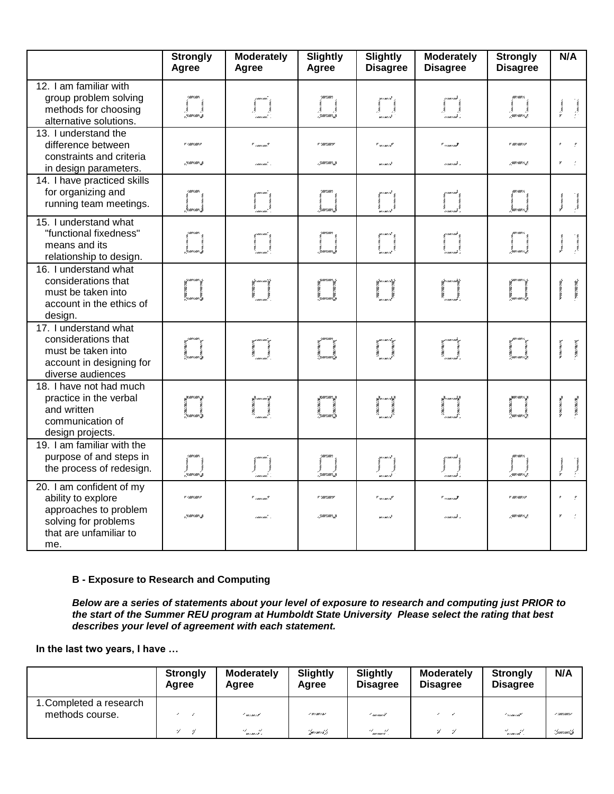|                                                                                                                                  | <b>Strongly</b><br>Agree                                                       | <b>Moderately</b><br>Agree      | <b>Slightly</b><br>Agree                                                                                                                                                                                                        | <b>Slightly</b><br><b>Disagree</b>                         | <b>Moderately</b><br><b>Disagree</b>               | <b>Strongly</b><br><b>Disagree</b> | N/A                                                      |
|----------------------------------------------------------------------------------------------------------------------------------|--------------------------------------------------------------------------------|---------------------------------|---------------------------------------------------------------------------------------------------------------------------------------------------------------------------------------------------------------------------------|------------------------------------------------------------|----------------------------------------------------|------------------------------------|----------------------------------------------------------|
| 12. I am familiar with<br>group problem solving<br>methods for choosing<br>alternative solutions.                                | .<br>zmrtini s                                                                 |                                 | . 7 mars mer 3                                                                                                                                                                                                                  | l<br>Samund                                                |                                                    | zuwan iz                           | <b>Services</b><br>$\frac{1}{2}$                         |
| 13. I understand the<br>difference between<br>constraints and criteria<br>in design parameters.                                  | <b>Contractor</b><br>January 3                                                 | * marmat<br>caucaut, s          | w cancerance<br>.ymmawr.g                                                                                                                                                                                                       | $"$ we can call<br>mimik                                   | יש <i>ונו חוורי</i><br>nummi x                     | w aurzaurza                        | $\mathcal{L}$                                            |
| 14. I have practiced skills<br>for organizing and<br>running team meetings.                                                      | l<br>Lanan                                                                     | i                               | $\left  \begin{array}{c} 1 \\ 1 \\ 2 \end{array} \right $                                                                                                                                                                       | i                                                          |                                                    | i<br>Jamaich                       | <b>Mary early see</b><br>we can con-                     |
| 15. I understand what<br>"functional fixedness"<br>means and its<br>relationship to design.                                      | l<br>Laman (                                                                   | I                               | l<br>Laman (f                                                                                                                                                                                                                   | filman<br>Timografi                                        |                                                    | e<br>Gamena e de f                 | <b>Concrete</b><br><b>Concession</b>                     |
| 16. I understand what<br>considerations that<br>must be taken into<br>account in the ethics of<br>design.                        | i<br>Land                                                                      | je<br>L                         | i<br>Lamani                                                                                                                                                                                                                     | ijementi<br>1                                              | je<br>L                                            | i<br>Zamena 1. z                   | curvation,                                               |
| 17. I understand what<br>considerations that<br>must be taken into<br>account in designing for<br>diverse audiences              | ana amin'ny fivondronan-kaominin'i Francese<br>Geometra ao amin'ny faritan'i A | y<br>Maria Barat<br>Maria Barat | en alle stationen selven av den stationen som stationen som stationen som stationen som stationen som station<br>Se provincia de la provincia de la provincia de la provincia de la provincia de la provincia de la provincia d |                                                            | i<br>I<br>I                                        |                                    | <b>New Year's</b>                                        |
| 18. I have not had much<br>practice in the verbal<br>and written<br>communication of<br>design projects.                         | i<br>Samaning                                                                  |                                 | I                                                                                                                                                                                                                               | Ĭ                                                          | t<br>I<br>I                                        | i<br>Gamenae (S                    | <b>SAN ANGELER ANGELINE</b><br><b>START AND START OF</b> |
| 19. I am familiar with the<br>purpose of and steps in<br>the process of redesign.                                                | )<br>zaman z                                                                   | $\prod_{i=1}^n$                 | )<br>7. marca (s                                                                                                                                                                                                                | $\left[\begin{array}{c} 0 & 0 \\ 0 & 0 \end{array}\right]$ | $\left(\begin{array}{c} 0 \\ 0 \end{array}\right)$ |                                    | The Second Property of<br>$\mathcal{N}_{\text{in}}$      |
| 20. I am confident of my<br>ability to explore<br>approaches to problem<br>solving for problems<br>that are unfamiliar to<br>me. | <b>Contractor</b><br>21 million 2007                                           | " : marx mar?<br>caucau'. .     | <b>Wilder Country</b><br>.5000100013                                                                                                                                                                                            | $"$ wrown $t^2$<br>mimik                                   | قسيس سي<br>somonik s                               | r automore<br>zurrurrez            | y.                                                       |

### **B - Exposure to Research and Computing**

*Below are a series of statements about your level of exposure to research and computing just PRIOR to the start of the Summer REU program at Humboldt State University Please select the rating that best describes your level of agreement with each statement.*

**In the last two years, I have …**

|                                            | <b>Strongly</b><br>Agree | <b>Moderately</b><br>Agree           | <b>Slightly</b><br>Agree | <b>Slightly</b><br><b>Disagree</b> | <b>Moderately</b><br><b>Disagree</b> | <b>Strongly</b><br><b>Disagree</b> | N/A                     |
|--------------------------------------------|--------------------------|--------------------------------------|--------------------------|------------------------------------|--------------------------------------|------------------------------------|-------------------------|
| 1. Completed a research<br>methods course. |                          | ' minnist                            | 1 W/M/A/                 | ' mermert                          |                                      | <u>I semeran</u> t                 | - 1 - 1111 1 1111 1 1   |
|                                            | 4<br>-4                  | $\mathscr{A}=\mathscr{A}$<br>mimik i | "pararris").             | st st<br>marinari .                | -21 - 21                             | '' nammi '                         | ''.')murmuri. <b>'y</b> |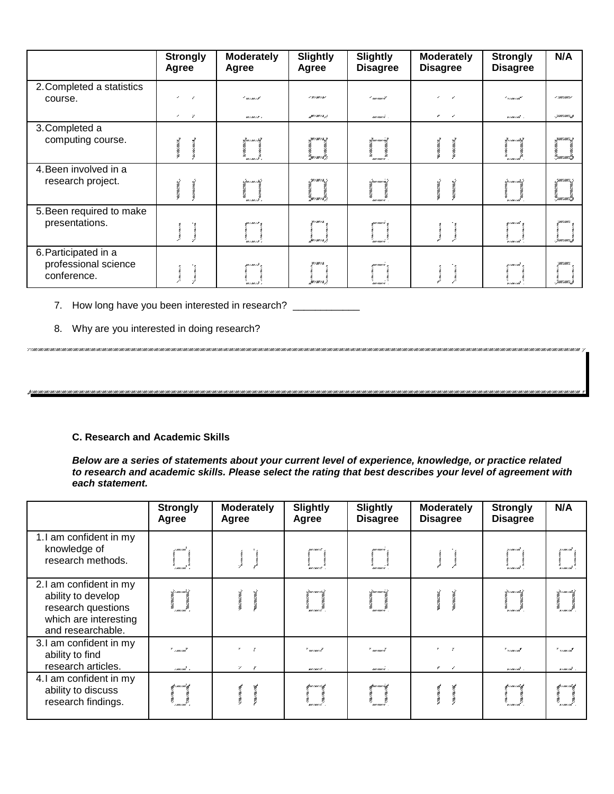|                                                             | <b>Strongly</b><br>Agree                    | <b>Moderately</b><br>Agree | <b>Slightly</b><br>Agree                             | <b>Slightly</b><br><b>Disagree</b> | <b>Moderately</b><br><b>Disagree</b> | <b>Strongly</b><br><b>Disagree</b> | N/A                   |
|-------------------------------------------------------------|---------------------------------------------|----------------------------|------------------------------------------------------|------------------------------------|--------------------------------------|------------------------------------|-----------------------|
| 2. Completed a statistics<br>course.                        | ,                                           | ' minist                   | I WIMIAI                                             | ( menuel                           | ,                                    | <u>I semenat</u>                   | / 200720077           |
|                                                             | $\mathcal{L}_{\mathcal{A}}$<br>$\mathcal V$ | mineix i                   | MIMIA /                                              | moment.                            | ,<br>$\overline{\phantom{a}}$        | some out -                         | -70001001.3           |
| 3. Completed a<br>computing course.                         |                                             | Ym marikk<br>mi mi i k     | 311/11/11.3<br>n<br>Marian A                         | 2, mar mar i S<br>marmari.         |                                      | Yezar i mish<br><b>FINEINS</b>     |                       |
| 4. Been involved in a<br>research project.                  |                                             | Queens in<br>minuik .      | : <i>m/m//m</i> .;<br>San mar i de <sup>lla</sup> j. | :/www.march<br>marmari.            |                                      | December militê<br>n i me i më     | Suurmari              |
| 5. Been required to make<br>presentations.                  |                                             | gainers.<br>minai k        | <b>W/AW/A</b><br>'surma'r                            | mana n<br>monuore"                 |                                      | n i me i më<br>z<br>Vermer mit     | 'nummu                |
| 6. Participated in a<br>professional science<br>conference. |                                             | mimik s<br>mineir .        | Jurmin,                                              | marmari s<br>mana i                |                                      | r i me i më<br>n i me i më         | <i><b>Imaxima</b></i> |

### 7. How long have you been interested in research? \_\_\_\_\_\_\_\_\_\_\_\_

8. Why are you interested in doing research?

#### **C. Research and Academic Skills**

*Below are a series of statements about your current level of experience, knowledge, or practice related to research and academic skills. Please select the rating that best describes your level of agreement with each statement.*

|                                                                                                                  | <b>Strongly</b><br>Agree          | <b>Moderately</b><br>Agree       | <b>Slightly</b><br>Agree   | <b>Slightly</b><br><b>Disagree</b> | <b>Moderately</b><br><b>Disagree</b> | <b>Strongly</b><br><b>Disagree</b>  | N/A                             |
|------------------------------------------------------------------------------------------------------------------|-----------------------------------|----------------------------------|----------------------------|------------------------------------|--------------------------------------|-------------------------------------|---------------------------------|
| 1.I am confident in my<br>knowledge of<br>research methods.                                                      | rmurmu.<br>courcout.              |                                  | ,,,,,,,,,,,,,<br>mermert'  | mariani c<br>marmari.              |                                      | yımınd ,<br>r<br>Armerad<br>Armerad | y i mu i mit<br>n i ma i më     |
| 2.1 am confident in my<br>ability to develop<br>research questions<br>which are interesting<br>and researchable. | Liminait L<br>' i mar ma'         |                                  | Laureaurs).<br>monas.      | 1 minutes<br>marmari.              |                                      | Lynne i mið í<br>n i me i më        | Lo marità<br>x / mx / mx        |
| 3.I am confident in my<br>ability to find<br>research articles.                                                  | * <sub>concent</sub><br>rmermit s | ×<br>$\mathcal{L}_{\mathcal{L}}$ | * mezunez Z<br>memors.     | * marmar F<br>memori.              | $\mathscr{C}$ and $\mathscr{C}$      | * vineind<br>some out -             | * vous out<br>s i mo i në       |
| 4.1 am confident in my<br>ability to discuss<br>research findings.                                               | k van aai k                       |                                  | llen i me i sll<br>mermeri | llenn van volk<br>mermeri          |                                      | former aid f                        | ller mer må h<br><b>FIMMING</b> |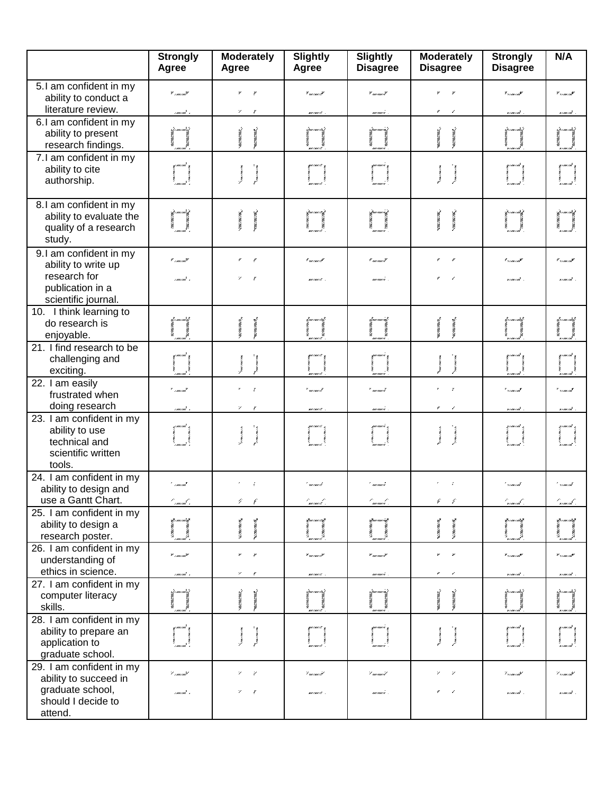|                                                                                                          | <b>Strongly</b><br>Agree            | <b>Moderately</b><br>Agree                                 | <b>Slightly</b><br>Agree                   | <b>Slightly</b><br><b>Disagree</b>                      | <b>Moderately</b><br><b>Disagree</b>              | <b>Strongly</b><br><b>Disagree</b>                                                   | N/A                                                                            |
|----------------------------------------------------------------------------------------------------------|-------------------------------------|------------------------------------------------------------|--------------------------------------------|---------------------------------------------------------|---------------------------------------------------|--------------------------------------------------------------------------------------|--------------------------------------------------------------------------------|
| 5.1 am confident in my<br>ability to conduct a<br>literature review.                                     | y <sub>como ma</sub> y<br>rmarmit s | ¥.<br>$\boldsymbol{r}$<br>$\mathcal V$<br>$\boldsymbol{r}$ | $\mathbf{v}_{unram}, \mathbf{v}$<br>mones. | $\mathbf{v}_{m \prime m \prime} \mathbf{y}$<br>marmar e | ,                                                 | $\mathbf{r}_{\text{v}/\text{m}\text{v}/\text{m}}\mathbf{r}$<br>ximina <sup>t</sup> . | $\mathscr{C}_{\mathscr{V},\mathscr{U}\mathscr{U},\mathscr{U}}$<br>n i mor i më |
| 6.I am confident in my<br>ability to present<br>research findings.                                       |                                     |                                                            | izm morzi                                  | 1 marca e i                                             | maxway, wax,                                      | i forma emite)                                                                       | i permurmõe)                                                                   |
| 7.1 am confident in my<br>ability to cite<br>authorship.                                                 | $\ddot{\phantom{a}}$                | <b>Lune Lune Lune</b><br><b>WAXWAY</b>                     |                                            | ym mezi y                                               | <b>Vincent Way</b><br>WAYWAY                      | ynan mi                                                                              |                                                                                |
| 8.I am confident in my<br>ability to evaluate the<br>quality of a research<br>study.                     |                                     | <b>CONTRACTOR</b><br><b>CONTRACTOR</b>                     | ifannann of<br>1<br>1                      |                                                         | <b>CONTRACTOR</b><br><b>CONTRACTOR</b>            |                                                                                      |                                                                                |
| 9.I am confident in my<br>ability to write up<br>research for<br>publication in a<br>scientific journal. | * marmat<br>rmani.                  | $\epsilon$<br>$\mathcal{C}$<br>$\mathbf{v}$                | I surrour it<br>mones.                     | $^{\prime}$ m/m/ $^{\prime}$<br>moment.                 | r                                                 | $\mathscr{C}_{\mathscr{V}/\mathscr{W}/\mathscr{W}}$<br>rimind.                       | * 17.000 mil <sup>3</sup><br>r care cart                                       |
| 10. I think learning to<br>do research is<br>enjoyable.                                                  |                                     |                                                            | 1. au 1 nov 1 st<br>mermert                | t mermeret.                                             | 49.7000/2000/2                                    | <u>t<sup>i</sup>r ma mid</u>                                                         | t e me nivî                                                                    |
| 21. I find research to be<br>challenging and<br>exciting.                                                |                                     | <b>MAXWAY</b><br><b>WAYWAY</b>                             |                                            |                                                         | 2006/000/000<br><b>BRACKWAY</b>                   | y i me i mit                                                                         |                                                                                |
| 22. I am easily<br>frustrated when<br>doing research                                                     | * /mw/mml<br>rmani s                | $\mathbf{r}$<br>γ                                          | * mennesk<br>momor.                        | * mermert<br>marmari.                                   |                                                   | * */me/ml<br>xı mıxımi .                                                             | '' v i me i më<br>n i mu i mti                                                 |
| 23. I am confident in my<br>ability to use<br>technical and<br>scientific written<br>tools.              | i mu i mu                           | <b>Londonton</b><br><b>Nonecometer</b>                     | gur ruu r.c                                | surruurre ,<br>š                                        | <b>Venezuela</b><br><b>CONTRACTOR</b>             | zı mermi<br>$-2000$<br>.<br>v i mr i mit                                             | y i mo i mil<br>.<br>Kalendari Ant                                             |
| 24. I am confident in my<br>ability to design and<br>use a Gantt Chart.                                  | ' marmi<br>e<br>1 maravki s         | G<br>۶                                                     | ' menuel<br>immusiksi.                     | ' mermeri<br>'monueve'.                                 | ç<br>£                                            | * */mx/mx<br>n mernî x                                                               | ************<br>ximint .                                                       |
| 25. I am confident in my<br>ability to design a<br>research poster.                                      |                                     |                                                            | קט מונג מודק <b>א</b><br>ma mars C         | ชีวะแบบแบบเช่<br>mezmezi                                | 47.1000 VOID 7.16<br><b>WANTED TO BE ANDEREST</b> | yo marang<br>u me i më                                                               | yo marinda<br>n i moi i mt                                                     |
| 26. I am confident in my<br>understanding of<br>ethics in science.                                       | $"$ cancer and $"$<br>rmarmi. 1     | γ                                                          | r <sub>menne</sub> jr<br>mones.            | V <sub>mermeri</sub> V<br>mormore .                     |                                                   | $\mathbf{v}_{\text{v/mr}/m\mathbf{z}}$<br>xı mıxımi .                                | $\mathbf{v}_{r,\text{max}}$ , $\mathbf{v}$<br>n i ma i mti                     |
| 27. I am confident in my<br>computer literacy<br>skills.                                                 | Z i mu i mui.                       |                                                            | i puo ona ori                              | 1 mars mars est                                         | <b>BRAYWAYWAY</b>                                 | <u>i</u> permer miss                                                                 | <u>i</u> termente,                                                             |
| 28. I am confident in my<br>ability to prepare an<br>application to<br>graduate school.                  |                                     |                                                            |                                            |                                                         | <b>Vince Vince Vince</b>                          |                                                                                      |                                                                                |
| 29. I am confident in my<br>ability to succeed in<br>graduate school,<br>should I decide to<br>attend.   | '' marmat<br>rmarmit s              | $\mathcal V$<br>γ                                          | ' minuit<br>mana is .                      | '' mermeril<br>marmari .                                | z<br>$\overline{\phantom{a}}$                     | '' vince mi<br>ximini .                                                              | '' v ma vnik<br>x i mx i në -.                                                 |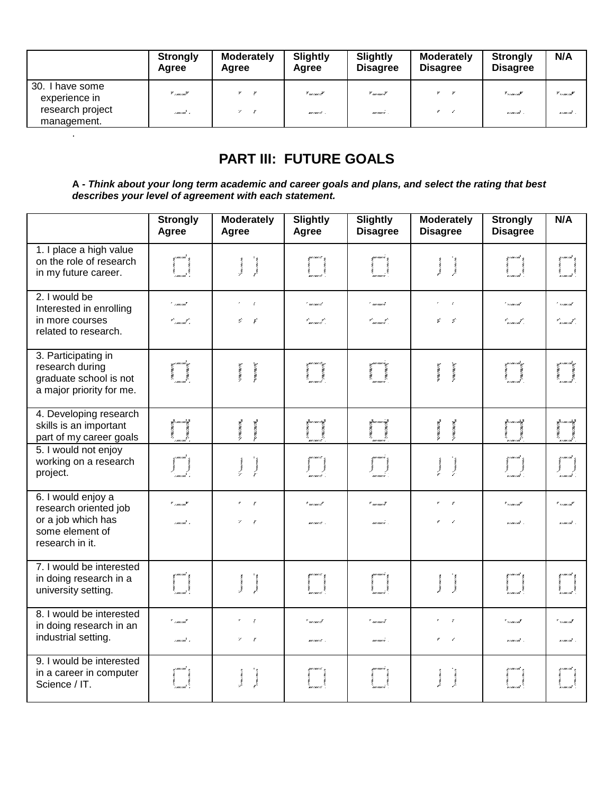|                                     | <b>Strongly</b><br>Agree | <b>Moderately</b><br>Agree | Slightly<br>Agree                                 | Slightly<br><b>Disagree</b> | <b>Moderately</b><br><b>Disagree</b> | <b>Strongly</b><br><b>Disagree</b>             | N/A                                                                       |
|-------------------------------------|--------------------------|----------------------------|---------------------------------------------------|-----------------------------|--------------------------------------|------------------------------------------------|---------------------------------------------------------------------------|
| 30.<br>, have some<br>experience in | $"$ /mm/mm $"$           | $\mathbb{Z}$               | $\mathcal{F}$ and $\rho$ and $\rho$ $\mathcal{F}$ | * mermerZ                   |                                      | $\mathbf{v}_{\text{v}/\text{m}\times\text{m}}$ | $\mathscr{C}_{\mathscr{L}/\mathscr{B}\mathscr{C}/\mathscr{B}\mathscr{C}}$ |
| research project<br>management.     | rment s                  | $\mathbf{z}$               | warmers .                                         | marmari .                   |                                      | some out -                                     | soment .                                                                  |

# **PART III: FUTURE GOALS**

.

**A -** *Think about your long term academic and career goals and plans, and select the rating that best describes your level of agreement with each statement.*

|                                                                                                         | <b>Strongly</b><br>Agree                                    | <b>Moderately</b><br>Agree                                                         | <b>Slightly</b><br>Agree              | Slightly<br><b>Disagree</b>                             | <b>Moderately</b><br><b>Disagree</b>                                                                                                       | <b>Strongly</b><br><b>Disagree</b>             | N/A                                |
|---------------------------------------------------------------------------------------------------------|-------------------------------------------------------------|------------------------------------------------------------------------------------|---------------------------------------|---------------------------------------------------------|--------------------------------------------------------------------------------------------------------------------------------------------|------------------------------------------------|------------------------------------|
| 1. I place a high value<br>on the role of research<br>in my future career.                              |                                                             | $\label{eq:1} \mathcal{N}_{\text{max},\text{max},\text{min}}$<br><b>Concept of</b> | i<br>L                                |                                                         | $\label{eq:1} \mathcal{N}(\mathbf{m},\mathbf{v})=\mathcal{N}(\mathbf{m},\mathbf{v})$<br><b>Concession</b>                                  |                                                | para<br>1<br>1                     |
| 2. I would be<br>Interested in enrolling<br>in more courses<br>related to research.                     | ' marmat<br>t – <sub>innerna</sub> t –                      | ÷ř.<br>Ý.<br>$\epsilon$                                                            | ' memerk<br>t - - - - t -<br>manaet - | ' mermeri<br>$^{\prime}$ , and the set of $^{\prime}$ . | $\tau$<br>Ý.<br>- G                                                                                                                        | $^{\prime}$ similar $^{\prime}$<br>t – mende – | ***********<br>y .<br>nomink'i     |
| 3. Participating in<br>research during<br>graduate school is not<br>a major priority for me.            | i<br>Carried Corporations<br>Carried Corporations           | <b>Avenue Marie</b><br><b>STERN WANTED</b>                                         | i<br>Lamana                           |                                                         | <b>CONTRACTOR</b><br><b>A SERVICE AND A</b>                                                                                                | ya masuka<br>Manazarta<br>Manazarta            | i<br>,<br>, , , , , , , , ,        |
| 4. Developing research<br>skills is an important<br>part of my career goals                             |                                                             | <b>ANTONIONE</b><br><b>SALES AND STATE</b>                                         | ferance<br> -<br> -                   |                                                         | <b>ANTONICO CONTRA</b><br><b>ANTONION COMPANY</b>                                                                                          | <b>May Separa</b>                              | firmantif<br> <br> -<br> -         |
| 5. I would not enjoy<br>working on a research<br>project.                                               | $\left\{\begin{matrix} 1 & 1 \\ 1 & 1 \end{matrix}\right\}$ | $\mathcal{N}$ . The contract of $\mathcal{N}$<br>$\sum_{i=1}^{n}$                  | $\prod_{\text{infinite}}$             |                                                         | $\gamma$<br>becomes<br>$\sum_{i=1}^{n}$                                                                                                    | )<br>semente                                   | f famouel<br> <br> -<br>  komoouel |
| 6. I would enjoy a<br>research oriented job<br>or a job which has<br>some element of<br>research in it. | * <sub>111111</sub> mil.<br>rmarmit s                       | $\pmb{r}$                                                                          | * minuist<br>mones.                   | $"$ m/m/ $'$<br>monusi.                                 |                                                                                                                                            | * */me/ml<br>n me cut-                         | * */mx/mx*<br>ximină i             |
| 7. I would be interested<br>in doing research in a<br>university setting.                               |                                                             | $\frac{1}{2}$ .<br><b>Turky and Your</b>                                           |                                       |                                                         | $\mathcal{N}$ and $\mathcal{N}$ and $\mathcal{N}$ and $\mathcal{N}$<br><b>Concept Control</b>                                              | parana<br> <br> -                              | yaanad<br> <br> -                  |
| 8. I would be interested<br>in doing research in an<br>industrial setting.                              | * marmat<br>rmani s                                         | $\mathbf{r}$<br>×<br>$\mathcal{L}$                                                 | * minuit<br>mones.                    | געוויוני י<br>moment.                                   | $\sim$                                                                                                                                     | * vmarnat<br>someont .                         | * */mx/mx<br>ximina <sup>r</sup> . |
| 9. I would be interested<br>in a career in computer<br>Science / IT.                                    |                                                             | Asianana<br><b>Nomes</b>                                                           | i<br>I<br>Imeniens                    |                                                         | $\label{eq:1} \sum_{\mathbf{y} \in \mathcal{M}} \mathbf{g}(\mathbf{y},\mathbf{y}) = \mathbf{g}(\mathbf{y},\mathbf{y})$<br><b>Venezuela</b> | i<br>Maria Alexandria<br>Maria Alexandria      | yana and<br> <br> -<br>  sama and  |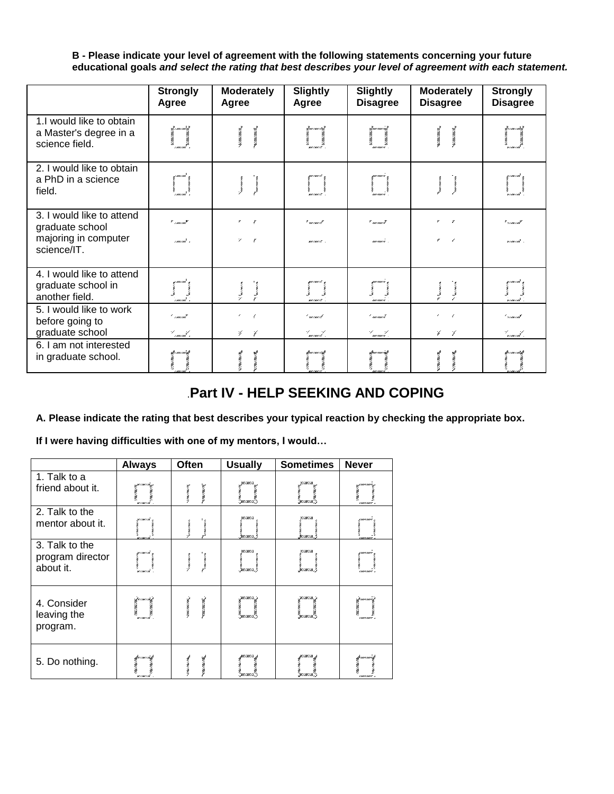**B - Please indicate your level of agreement with the following statements concerning your future educational goals** *and select the rating that best describes your level of agreement with each statement.*

|                                                                                     | <b>Strongly</b><br>Agree      | <b>Moderately</b><br>Agree                                     | <b>Slightly</b><br>Agree  | <b>Slightly</b><br><b>Disagree</b> | <b>Moderately</b><br><b>Disagree</b>   | <b>Strongly</b><br><b>Disagree</b>                 |
|-------------------------------------------------------------------------------------|-------------------------------|----------------------------------------------------------------|---------------------------|------------------------------------|----------------------------------------|----------------------------------------------------|
| 1.I would like to obtain<br>a Master's degree in a<br>science field.                | ymmaali<br> <br>              | <b>All Concernsives</b><br>avenue de                           | je<br>Leonard<br>Leonard  | mermere                            | avenvente<br><b>BANDAY</b>             | i <sup>g</sup> umumis<br>as van van<br>x / mx / mx |
| 2. I would like to obtain<br>a PhD in a science<br>field.                           | um m                          | <b>Sunsymmers</b><br>way was your                              | gunun 18<br>menaers.      | uurruurre ,<br>.<br>marejeo        | <b>Maxwell</b><br><b>Mary Mary Way</b> | z i me i më<br>r<br>Vanaami<br>Inamani             |
| 3. I would like to attend<br>graduate school<br>majoring in computer<br>science/IT. | $"$ concome<br>rmani s        | $\boldsymbol{r}$<br>$\mathbf{r}$<br>$\mathcal V$<br>$\epsilon$ | * mennest<br>mana is      | $"$ m/m/ $I$<br>marmare.           | ×<br>,<br>$\epsilon$<br>r              | * */mx/mx*<br>ximini .                             |
| 4. I would like to attend<br>graduate school in<br>another field.                   | n mu mu<br>.<br>. marximit "n | <b>Surveyor</b><br><b>Simons</b>                               | guerrant s<br>.<br>marava | gwnwn i<br>.<br>manuai             | $\sum_{i=1}^{n}$<br><b>Savanne</b>     | g i me i më<br>'n mermi                            |
| 5. I would like to work<br>before going to<br>graduate school                       | ' marmi'<br>Laurente s        | $\epsilon$<br>$\epsilon$<br>乡<br>7                             | (* mennesk<br>l manier k  | ' monoit<br>l manuel .             | 7<br>メ                                 | ' vous out<br>l <sub>sermani</sub> k .             |
| 6. I am not interested<br>in graduate school.                                       | it i ma mai d                 | <b>SYMPATHIA STEE</b>                                          | Ym me i st                | :2000 / 000 / 02                   | <b>AVENUE VERSION</b><br><b>MARKET</b> | it var min                                         |

## .**Part IV - HELP SEEKING AND COPING**

**A. Please indicate the rating that best describes your typical reaction by checking the appropriate box.**

**If I were having difficulties with one of my mentors, I would…**

|                                                 | <b>Always</b>                          | <b>Often</b>                                           | <b>Usually</b>                   | <b>Sometimes</b>                  | <b>Never</b>                                              |
|-------------------------------------------------|----------------------------------------|--------------------------------------------------------|----------------------------------|-----------------------------------|-----------------------------------------------------------|
| 1. Talk to a<br>friend about it.                | ya marridayi<br>Cari<br>Carmarrida     | <b>The Second Control</b><br><b>New Year's</b>         | zaman<br>Cara<br>Gamanikiy       | yawaa<br>Caraanka<br>waxaanka     | 5000<br>immimur i                                         |
| 2. Talk to the<br>mentor about it.              | n care cat<br> <br> <br> -<br>w i mr i | <b>NAMES OF</b><br><b>A 1999-1999</b>                  | <u>tym awrs f</u>                | .<br>Seznazna                     |                                                           |
| 3. Talk to the<br>program director<br>about it. | yanaani<br>Yumaani<br>Yumaani          | New years.<br><b>New Year</b>                          | i<br>januarist                   | i<br>i<br>persoris i              |                                                           |
| 4. Consider<br>leaving the<br>program.          | itjermernitif<br>1<br>1. maardi        | Vent Vincom<br>$\sim$ and $\sim$ and $\sim$ and $\sim$ | zamanský<br>Camaroký<br>Zamaroký | i je mama<br>za mama<br>za mama z | sarmi i sh<br>Bara<br>Bara<br>messares and<br>rmarruare s |
| 5. Do nothing.                                  | fremer utif<br> -<br> -<br> - marrill  | <b>STRANGER</b><br><b>WWW.COMPOS</b>                   | r<br>Gammandiy                   | r<br>Germania                     | <b>Construction</b>                                       |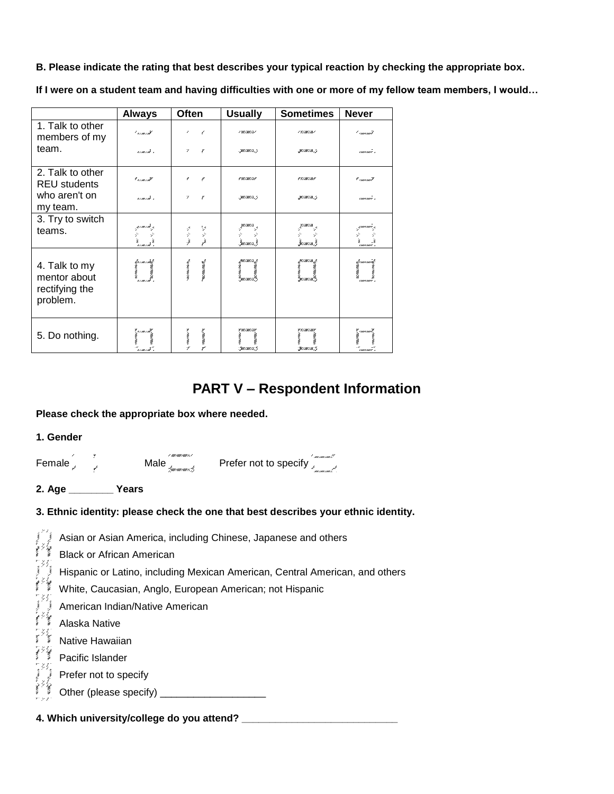**B. Please indicate the rating that best describes your typical reaction by checking the appropriate box.**

**If I were on a student team and having difficulties with one or more of my fellow team members, I would…**

|                                                             | <b>Always</b>                     | <b>Often</b>                                              | <b>Usually</b>                                                  | <b>Sometimes</b>                                         | <b>Never</b>            |
|-------------------------------------------------------------|-----------------------------------|-----------------------------------------------------------|-----------------------------------------------------------------|----------------------------------------------------------|-------------------------|
| 1. Talk to other<br>members of my                           | ' vouernit                        | ,<br>$\epsilon$                                           | / \//////////                                                   | / 7/88/86/                                               | ' amamil                |
| team.                                                       | romoni c                          | $\mathcal{L}$<br>$\boldsymbol{r}$                         | MINI/A.7                                                        | 30 / 100 / 105 . 7                                       | rmermer s               |
| 2. Talk to other<br><b>REU students</b>                     | * vous out                        | ø<br>r                                                    | <b># W/AW/AF</b>                                                | <b># 7/ MY / MY</b>                                      | r <sub>canco</sub> an 7 |
| who aren't on<br>my team.                                   | someon s                          | γ<br>r                                                    | MINI/A.7                                                        | W/M/M.7                                                  | rmermer s               |
| 3. Try to switch<br>teams.                                  | .gowoni 4                         | 罗罗<br>t,                                                  |                                                                 |                                                          | , parmar ,              |
|                                                             | Ù<br>" הנוחות"                    | À                                                         | à<br>Surman)                                                    | maria,                                                   | LIMITARITY A            |
| 4. Talk to my<br>mentor about<br>rectifying the<br>problem. |                                   | way may be a<br>anymous.                                  | ymenaersy<br>Carlotte<br>Gaeraiche)                             | yananay<br>V                                             | filmomit<br> <br>       |
| 5. Do nothing.                                              | i<br>İ<br>" v me i m <sup>3</sup> | $\lambda$ , where $\lambda$<br>$\chi$ conveniences $\chi$ | V \\\/X\\/XY<br>construction.<br><b>CONSUMING</b><br>Guarante S | <b>V</b> V / MV / MY<br><b>CONSUMING</b><br>Service in S | ". . mars mar P.<br>ł   |

## **PART V – Respondent Information**

#### **Please check the appropriate box where needed.**

| 1. Gender |
|-----------|
|           |

| Female $\frac{1}{2}$<br>Male $\frac{1}{\sqrt{2\pi}}$ Prefer not to specify $\frac{1}{\sqrt{2\pi}}$                                                                                                                          |  |  |
|-----------------------------------------------------------------------------------------------------------------------------------------------------------------------------------------------------------------------------|--|--|
| 2. Age ___________ Years                                                                                                                                                                                                    |  |  |
| 3. Ethnic identity: please check the one that best describes your ethnic identity.                                                                                                                                          |  |  |
| Asian or Asian America, including Chinese, Japanese and others<br>Black or African American<br>Hispanic or Latino, including Mexican American, Central American<br>White, Caucasian, Anglo, European American; not Hispanic |  |  |
|                                                                                                                                                                                                                             |  |  |
| Hispanic or Latino, including Mexican American, Central American, and others                                                                                                                                                |  |  |
| White, Caucasian, Anglo, European American; not Hispanic                                                                                                                                                                    |  |  |
| Mille, Caucasian, Anglo, Luropea<br>American Indian/Native American                                                                                                                                                         |  |  |

- American Indian/Native American<br>
Alaska Native<br>
Alaska Native<br>
Alative Hawaiian Alaska Native
	-
	- Pacific Islander
- Mative Hawaiian<br>Pacific Islander<br>Prefer not to spe
- $\begin{array}{c} \begin{array}{c} \begin{array}{c} \begin{array}{c} \end{array} \\ \begin{array}{c} \end{array} \end{array} \end{array}$  Prefer not to specify<br>Other (please specif Other (please specify) \_\_\_\_\_\_\_\_\_\_\_\_\_\_\_\_\_\_\_

**4. Which university/college do you attend? \_\_\_\_\_\_\_\_\_\_\_\_\_\_\_\_\_\_\_\_\_\_\_\_\_\_\_\_**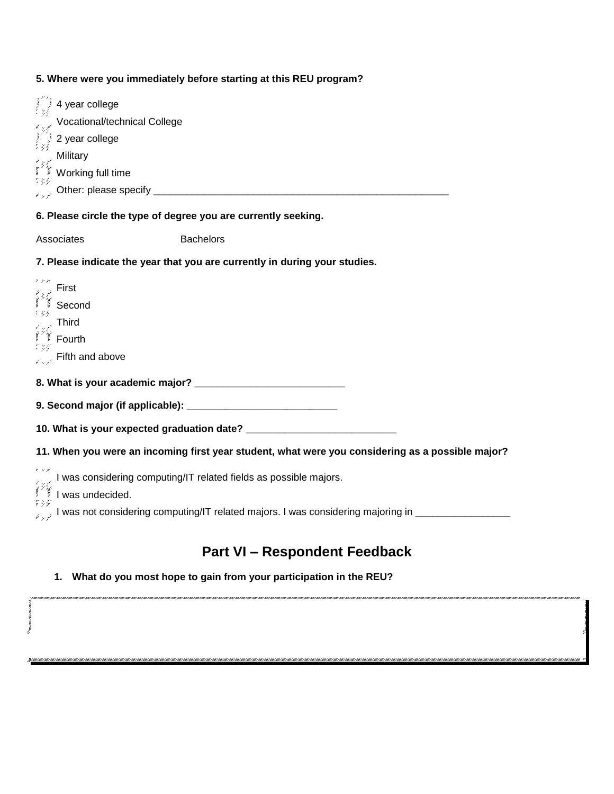### **5. Where were you immediately before starting at this REU program?**

| 4 year college                                            |                                                                                                  |  |
|-----------------------------------------------------------|--------------------------------------------------------------------------------------------------|--|
| Vocational/technical College                              |                                                                                                  |  |
| 2 year college                                            |                                                                                                  |  |
| Military<br>ू Military<br>अपूर्ण Working full time<br>१९६ |                                                                                                  |  |
|                                                           |                                                                                                  |  |
|                                                           |                                                                                                  |  |
|                                                           | 6. Please circle the type of degree you are currently seeking.                                   |  |
| Associates                                                | <b>Bachelors</b>                                                                                 |  |
|                                                           | 7. Please indicate the year that you are currently in during your studies.                       |  |
| First                                                     |                                                                                                  |  |
| <b>Elion</b><br>Second                                    |                                                                                                  |  |
| <b>Third</b>                                              |                                                                                                  |  |
| Fourth                                                    |                                                                                                  |  |
| Fifth and above                                           |                                                                                                  |  |
|                                                           |                                                                                                  |  |
|                                                           |                                                                                                  |  |
|                                                           |                                                                                                  |  |
|                                                           | 11. When you were an incoming first year student, what were you considering as a possible major? |  |
| I was undecided.                                          | I was considering computing/IT related fields as possible majors.                                |  |
| $\hat{V} \downarrow \hat{V}$                              | I was not considering computing/IT related majors. I was considering majoring in _______________ |  |
| <b>Part VI - Respondent Feedback</b>                      |                                                                                                  |  |

**1. What do you most hope to gain from your participation in the REU?**